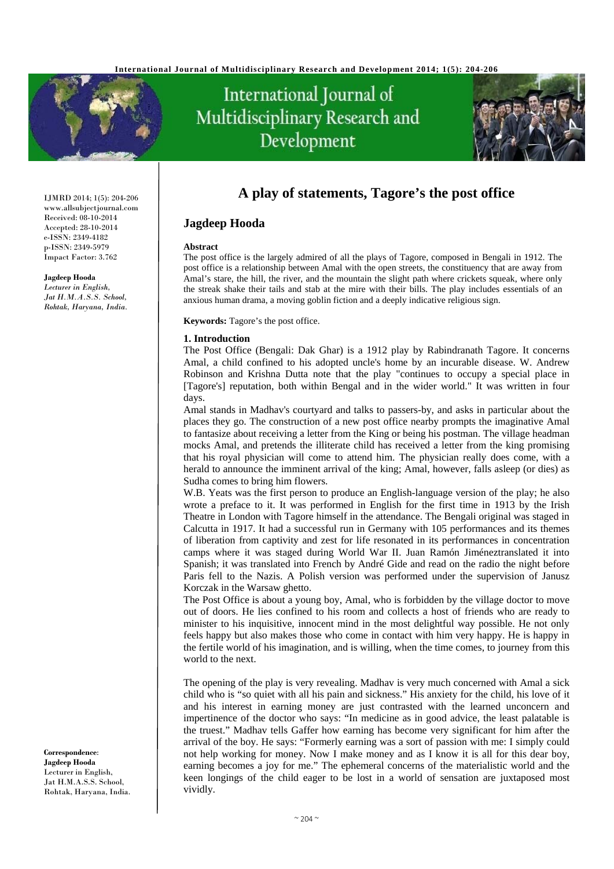

# International Journal of Multidisciplinary Research and Development



## **A play of statements, Tagore's the post office**

### **Jagdeep Hooda**

#### **Abstract**

The post office is the largely admired of all the plays of Tagore, composed in Bengali in 1912. The post office is a relationship between Amal with the open streets, the constituency that are away from Amal's stare, the hill, the river, and the mountain the slight path where crickets squeak, where only the streak shake their tails and stab at the mire with their bills. The play includes essentials of an anxious human drama, a moving goblin fiction and a deeply indicative religious sign.

**Keywords:** Tagore's the post office.

#### **1. Introduction**

The Post Office (Bengali: Dak Ghar) is a 1912 play by Rabindranath Tagore. It concerns Amal, a child confined to his adopted uncle's home by an incurable disease. W. Andrew Robinson and Krishna Dutta note that the play "continues to occupy a special place in [Tagore's] reputation, both within Bengal and in the wider world." It was written in four days.

Amal stands in Madhav's courtyard and talks to passers-by, and asks in particular about the places they go. The construction of a new post office nearby prompts the imaginative Amal to fantasize about receiving a letter from the King or being his postman. The village headman mocks Amal, and pretends the illiterate child has received a letter from the king promising that his royal physician will come to attend him. The physician really does come, with a herald to announce the imminent arrival of the king; Amal, however, falls asleep (or dies) as Sudha comes to bring him flowers.

W.B. Yeats was the first person to produce an English-language version of the play; he also wrote a preface to it. It was performed in English for the first time in 1913 by the Irish Theatre in London with Tagore himself in the attendance. The Bengali original was staged in Calcutta in 1917. It had a successful run in Germany with 105 performances and its themes of liberation from captivity and zest for life resonated in its performances in concentration camps where it was staged during World War II. Juan Ramón Jiméneztranslated it into Spanish; it was translated into French by André Gide and read on the radio the night before Paris fell to the Nazis. A Polish version was performed under the supervision of Janusz Korczak in the Warsaw ghetto.

The Post Office is about a young boy, Amal, who is forbidden by the village doctor to move out of doors. He lies confined to his room and collects a host of friends who are ready to minister to his inquisitive, innocent mind in the most delightful way possible. He not only feels happy but also makes those who come in contact with him very happy. He is happy in the fertile world of his imagination, and is willing, when the time comes, to journey from this world to the next.

The opening of the play is very revealing. Madhav is very much concerned with Amal a sick child who is "so quiet with all his pain and sickness." His anxiety for the child, his love of it and his interest in earning money are just contrasted with the learned unconcern and impertinence of the doctor who says: "In medicine as in good advice, the least palatable is the truest." Madhav tells Gaffer how earning has become very significant for him after the arrival of the boy. He says: "Formerly earning was a sort of passion with me: I simply could not help working for money. Now I make money and as I know it is all for this dear boy, earning becomes a joy for me." The ephemeral concerns of the materialistic world and the keen longings of the child eager to be lost in a world of sensation are juxtaposed most vividly.

IJMRD 2014; 1(5): 204-206 www.allsubjectjournal.com Received: 08-10-2014 Accepted: 28-10-2014 e-ISSN: 2349-4182 p-ISSN: 2349-5979 Impact Factor: 3.762

**Jagdeep Hooda**

*Lecturer in English, Jat H.M.A.S.S. School, Rohtak, Haryana, India.* 

**Correspondence**: **Jagdeep Hooda** Lecturer in English, Jat H.M.A.S.S. School, Rohtak, Haryana, India.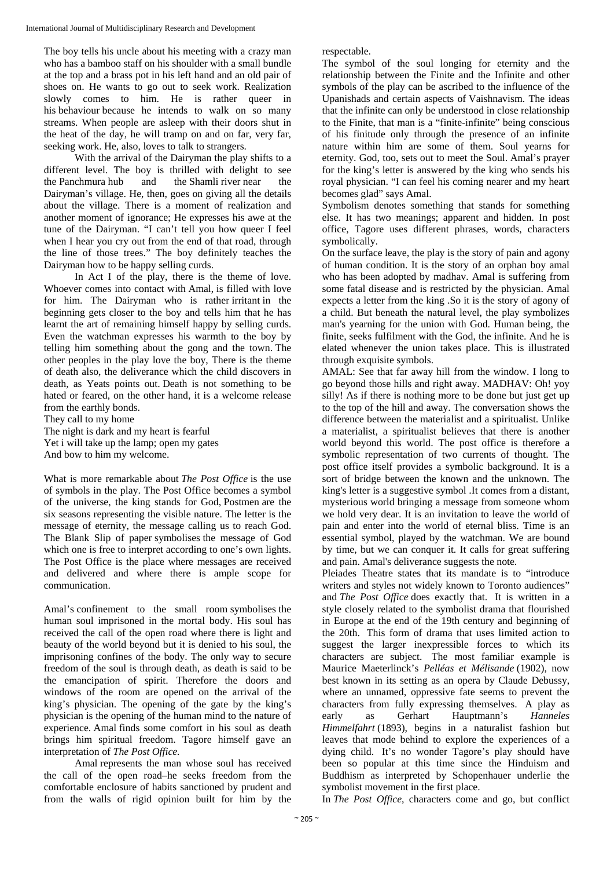The boy tells his uncle about his meeting with a crazy man who has a bamboo staff on his shoulder with a small bundle at the top and a brass pot in his left hand and an old pair of shoes on. He wants to go out to seek work. Realization slowly comes to him. He is rather queer in his behaviour because he intends to walk on so many streams. When people are asleep with their doors shut in the heat of the day, he will tramp on and on far, very far, seeking work. He, also, loves to talk to strangers.

 With the arrival of the Dairyman the play shifts to a different level. The boy is thrilled with delight to see the Panchmura hub and the Shamli river near the Dairyman's village. He, then, goes on giving all the details about the village. There is a moment of realization and another moment of ignorance; He expresses his awe at the tune of the Dairyman. "I can't tell you how queer I feel when I hear you cry out from the end of that road, through the line of those trees." The boy definitely teaches the Dairyman how to be happy selling curds.

 In Act I of the play, there is the theme of love. Whoever comes into contact with Amal, is filled with love for him. The Dairyman who is rather irritant in the beginning gets closer to the boy and tells him that he has learnt the art of remaining himself happy by selling curds. Even the watchman expresses his warmth to the boy by telling him something about the gong and the town. The other peoples in the play love the boy, There is the theme of death also, the deliverance which the child discovers in death, as Yeats points out. Death is not something to be hated or feared, on the other hand, it is a welcome release from the earthly bonds.

They call to my home

The night is dark and my heart is fearful Yet i will take up the lamp; open my gates And bow to him my welcome.

What is more remarkable about *The Post Office* is the use of symbols in the play. The Post Office becomes a symbol of the universe, the king stands for God, Postmen are the six seasons representing the visible nature. The letter is the message of eternity, the message calling us to reach God. The Blank Slip of paper symbolises the message of God which one is free to interpret according to one's own lights. The Post Office is the place where messages are received and delivered and where there is ample scope for communication.

Amal's confinement to the small room symbolises the human soul imprisoned in the mortal body. His soul has received the call of the open road where there is light and beauty of the world beyond but it is denied to his soul, the imprisoning confines of the body. The only way to secure freedom of the soul is through death, as death is said to be the emancipation of spirit. Therefore the doors and windows of the room are opened on the arrival of the king's physician. The opening of the gate by the king's physician is the opening of the human mind to the nature of experience. Amal finds some comfort in his soul as death brings him spiritual freedom. Tagore himself gave an interpretation of *The Post Office.*

 Amal represents the man whose soul has received the call of the open road–he seeks freedom from the comfortable enclosure of habits sanctioned by prudent and from the walls of rigid opinion built for him by the

respectable.

The symbol of the soul longing for eternity and the relationship between the Finite and the Infinite and other symbols of the play can be ascribed to the influence of the Upanishads and certain aspects of Vaishnavism. The ideas that the infinite can only be understood in close relationship to the Finite, that man is a "finite-infinite" being conscious of his finitude only through the presence of an infinite nature within him are some of them. Soul yearns for eternity. God, too, sets out to meet the Soul. Amal's prayer for the king's letter is answered by the king who sends his royal physician. "I can feel his coming nearer and my heart becomes glad" says Amal.

Symbolism denotes something that stands for something else. It has two meanings; apparent and hidden. In post office, Tagore uses different phrases, words, characters symbolically.

On the surface leave, the play is the story of pain and agony of human condition. It is the story of an orphan boy amal who has been adopted by madhav. Amal is suffering from some fatal disease and is restricted by the physician. Amal expects a letter from the king .So it is the story of agony of a child. But beneath the natural level, the play symbolizes man's yearning for the union with God. Human being, the finite, seeks fulfilment with the God, the infinite. And he is elated whenever the union takes place. This is illustrated through exquisite symbols.

AMAL: See that far away hill from the window. I long to go beyond those hills and right away. MADHAV: Oh! yoy silly! As if there is nothing more to be done but just get up to the top of the hill and away. The conversation shows the difference between the materialist and a spiritualist. Unlike a materialist, a spiritualist believes that there is another world beyond this world. The post office is therefore a symbolic representation of two currents of thought. The post office itself provides a symbolic background. It is a sort of bridge between the known and the unknown. The king's letter is a suggestive symbol .It comes from a distant, mysterious world bringing a message from someone whom we hold very dear. It is an invitation to leave the world of pain and enter into the world of eternal bliss. Time is an essential symbol, played by the watchman. We are bound by time, but we can conquer it. It calls for great suffering and pain. Amal's deliverance suggests the note.

Pleiades Theatre states that its mandate is to "introduce writers and styles not widely known to Toronto audiences" and *The Post Office* does exactly that. It is written in a style closely related to the symbolist drama that flourished in Europe at the end of the 19th century and beginning of the 20th. This form of drama that uses limited action to suggest the larger inexpressible forces to which its characters are subject. The most familiar example is Maurice Maeterlinck's *Pelléas et Mélisande* (1902), now best known in its setting as an opera by Claude Debussy, where an unnamed, oppressive fate seems to prevent the characters from fully expressing themselves. A play as early as Gerhart Hauptmann's *Hanneles Himmelfahrt* (1893), begins in a naturalist fashion but leaves that mode behind to explore the experiences of a dying child. It's no wonder Tagore's play should have been so popular at this time since the Hinduism and Buddhism as interpreted by Schopenhauer underlie the symbolist movement in the first place.

In *The Post Office*, characters come and go, but conflict